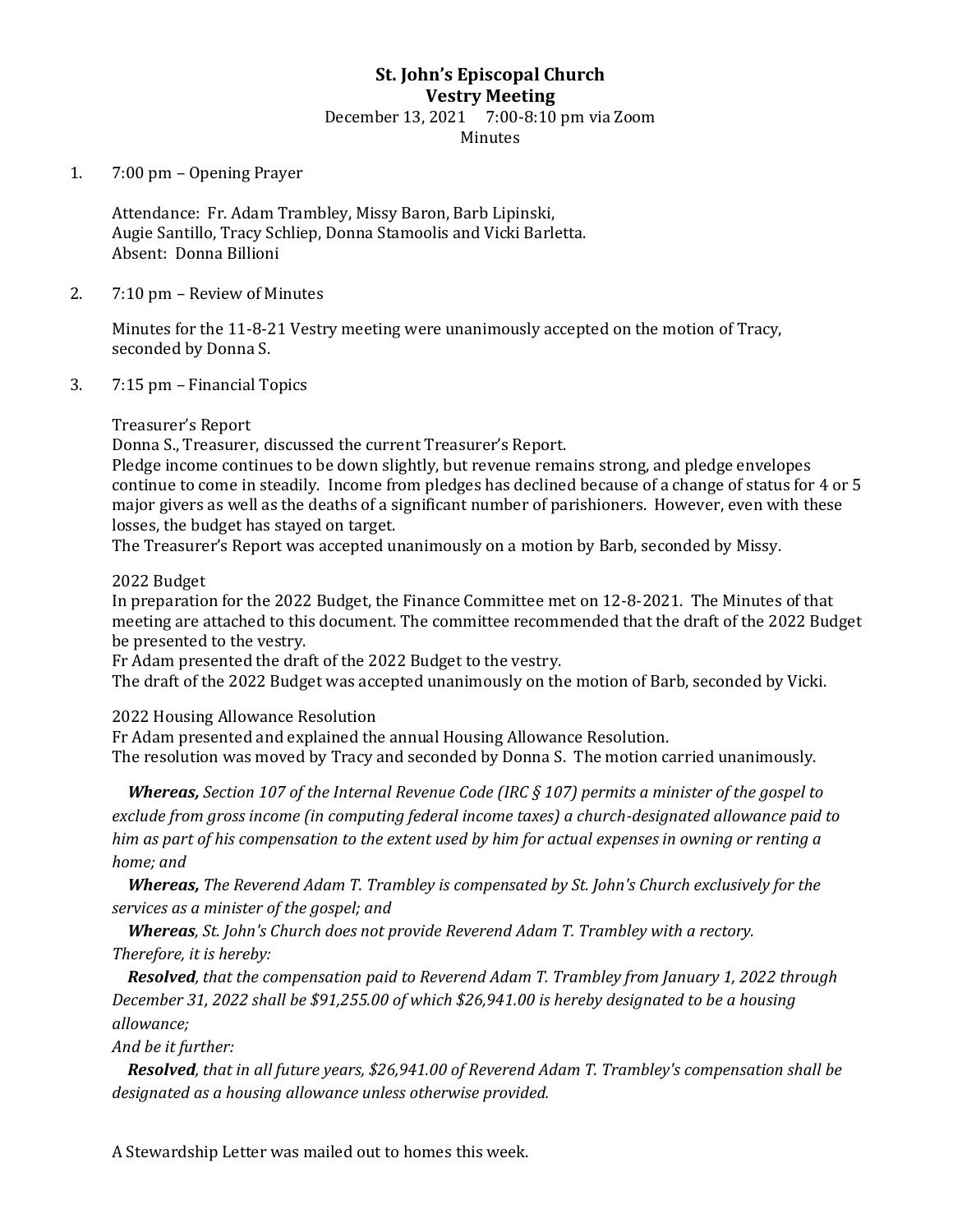# **St. John's Episcopal Church Vestry Meeting** December 13, 2021 7:00-8:10 pm via Zoom Minutes

### 1. 7:00 pm – Opening Prayer

Attendance: Fr. Adam Trambley, Missy Baron, Barb Lipinski, Augie Santillo, Tracy Schliep, Donna Stamoolis and Vicki Barletta. Absent: Donna Billioni

#### 2. 7:10 pm – Review of Minutes

Minutes for the 11-8-21 Vestry meeting were unanimously accepted on the motion of Tracy, seconded by Donna S.

### 3. 7:15 pm – Financial Topics

### Treasurer's Report

Donna S., Treasurer, discussed the current Treasurer's Report.

Pledge income continues to be down slightly, but revenue remains strong, and pledge envelopes continue to come in steadily. Income from pledges has declined because of a change of status for 4 or 5 major givers as well as the deaths of a significant number of parishioners. However, even with these losses, the budget has stayed on target.

The Treasurer's Report was accepted unanimously on a motion by Barb, seconded by Missy.

### 2022 Budget

In preparation for the 2022 Budget, the Finance Committee met on 12-8-2021. The Minutes of that meeting are attached to this document. The committee recommended that the draft of the 2022 Budget be presented to the vestry.

Fr Adam presented the draft of the 2022 Budget to the vestry.

The draft of the 2022 Budget was accepted unanimously on the motion of Barb, seconded by Vicki.

2022 Housing Allowance Resolution

Fr Adam presented and explained the annual Housing Allowance Resolution. The resolution was moved by Tracy and seconded by Donna S. The motion carried unanimously.

 *Whereas, Section 107 of the Internal Revenue Code (IRC § 107) permits a minister of the gospel to exclude from gross income (in computing federal income taxes) a church-designated allowance paid to him as part of his compensation to the extent used by him for actual expenses in owning or renting a home; and* 

 *Whereas, The Reverend Adam T. Trambley is compensated by St. John's Church exclusively for the services as a minister of the gospel; and* 

 *Whereas, St. John's Church does not provide Reverend Adam T. Trambley with a rectory. Therefore, it is hereby:*

 *Resolved, that the compensation paid to Reverend Adam T. Trambley from January 1, 2022 through December 31, 2022 shall be \$91,255.00 of which \$26,941.00 is hereby designated to be a housing allowance;* 

*And be it further:*

 *Resolved, that in all future years, \$26,941.00 of Reverend Adam T. Trambley's compensation shall be designated as a housing allowance unless otherwise provided.*

A Stewardship Letter was mailed out to homes this week.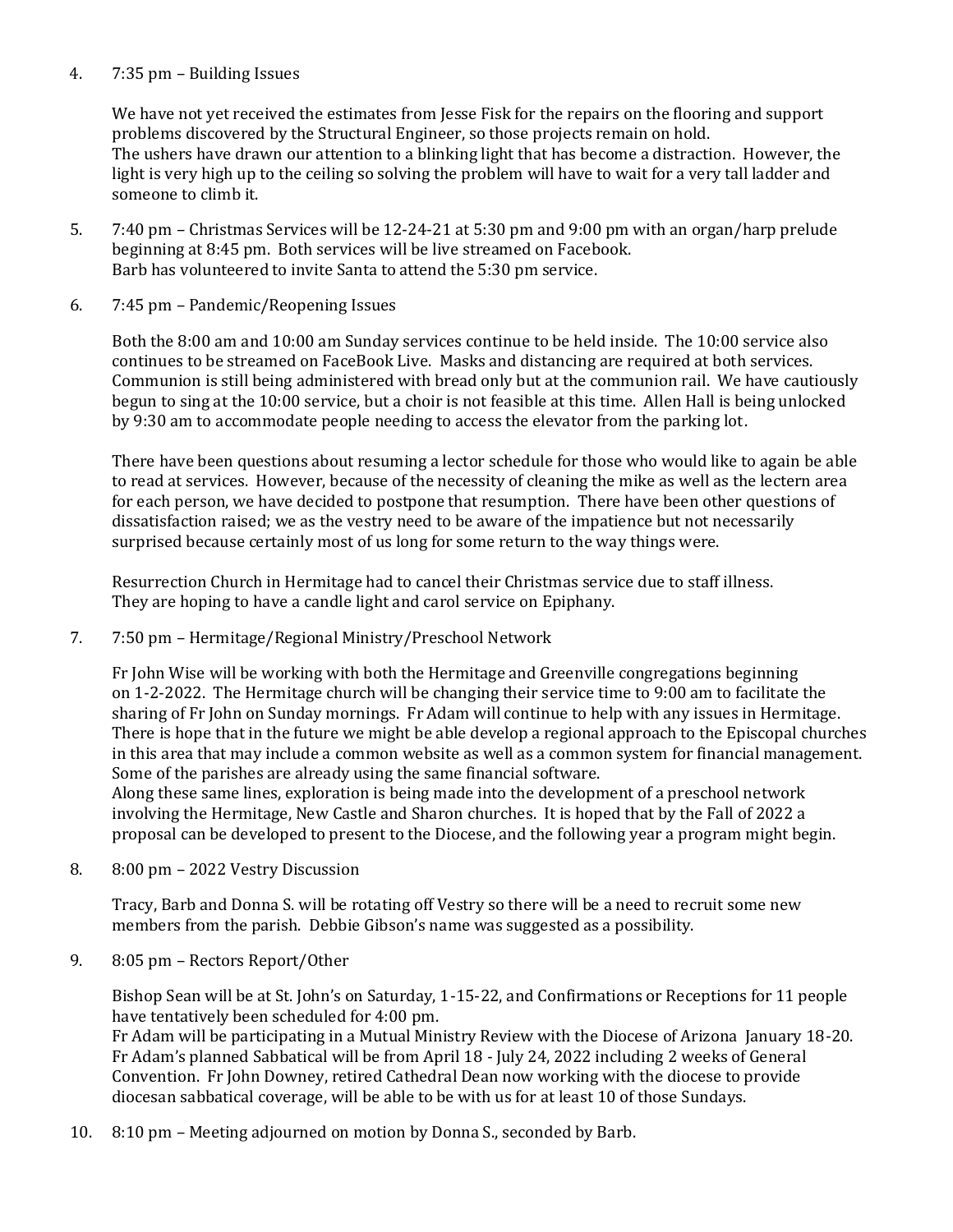# 4. 7:35 pm – Building Issues

We have not yet received the estimates from Jesse Fisk for the repairs on the flooring and support problems discovered by the Structural Engineer, so those projects remain on hold. The ushers have drawn our attention to a blinking light that has become a distraction. However, the light is very high up to the ceiling so solving the problem will have to wait for a very tall ladder and someone to climb it.

- 5. 7:40 pm Christmas Services will be 12-24-21 at 5:30 pm and 9:00 pm with an organ/harp prelude beginning at 8:45 pm. Both services will be live streamed on Facebook. Barb has volunteered to invite Santa to attend the 5:30 pm service.
- 6. 7:45 pm Pandemic/Reopening Issues

Both the 8:00 am and 10:00 am Sunday services continue to be held inside. The 10:00 service also continues to be streamed on FaceBook Live. Masks and distancing are required at both services. Communion is still being administered with bread only but at the communion rail. We have cautiously begun to sing at the 10:00 service, but a choir is not feasible at this time. Allen Hall is being unlocked by 9:30 am to accommodate people needing to access the elevator from the parking lot.

There have been questions about resuming a lector schedule for those who would like to again be able to read at services. However, because of the necessity of cleaning the mike as well as the lectern area for each person, we have decided to postpone that resumption. There have been other questions of dissatisfaction raised; we as the vestry need to be aware of the impatience but not necessarily surprised because certainly most of us long for some return to the way things were.

Resurrection Church in Hermitage had to cancel their Christmas service due to staff illness. They are hoping to have a candle light and carol service on Epiphany.

7. 7:50 pm – Hermitage/Regional Ministry/Preschool Network

Fr John Wise will be working with both the Hermitage and Greenville congregations beginning on 1-2-2022. The Hermitage church will be changing their service time to 9:00 am to facilitate the sharing of Fr John on Sunday mornings. Fr Adam will continue to help with any issues in Hermitage. There is hope that in the future we might be able develop a regional approach to the Episcopal churches in this area that may include a common website as well as a common system for financial management. Some of the parishes are already using the same financial software.

Along these same lines, exploration is being made into the development of a preschool network involving the Hermitage, New Castle and Sharon churches. It is hoped that by the Fall of 2022 a proposal can be developed to present to the Diocese, and the following year a program might begin.

8. 8:00 pm – 2022 Vestry Discussion

Tracy, Barb and Donna S. will be rotating off Vestry so there will be a need to recruit some new members from the parish. Debbie Gibson's name was suggested as a possibility.

9. 8:05 pm – Rectors Report/Other

Bishop Sean will be at St. John's on Saturday, 1-15-22, and Confirmations or Receptions for 11 people have tentatively been scheduled for 4:00 pm.

Fr Adam will be participating in a Mutual Ministry Review with the Diocese of Arizona January 18-20. Fr Adam's planned Sabbatical will be from April 18 - July 24, 2022 including 2 weeks of General Convention. Fr John Downey, retired Cathedral Dean now working with the diocese to provide diocesan sabbatical coverage, will be able to be with us for at least 10 of those Sundays.

10. 8:10 pm – Meeting adjourned on motion by Donna S., seconded by Barb.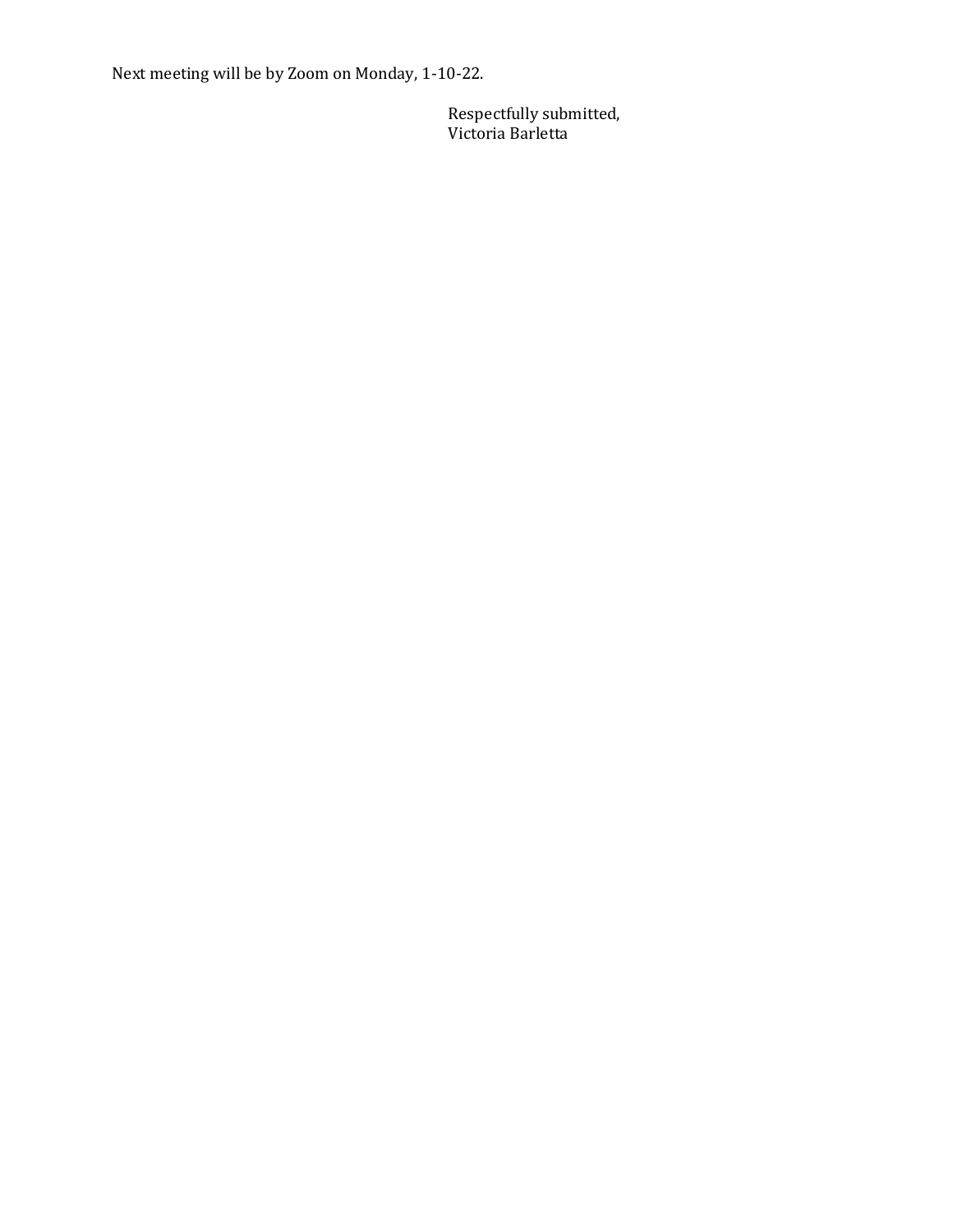Next meeting will be by Zoom on Monday, 1-10-22.

Respectfully submitted, Victoria Barletta